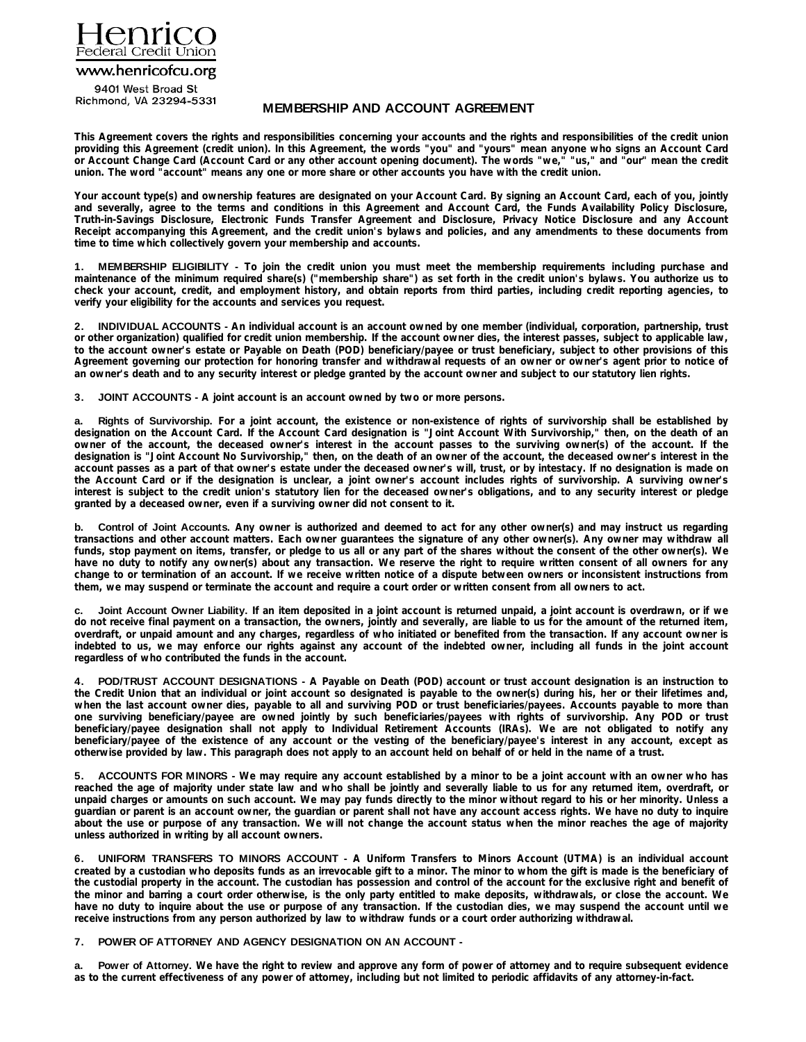

www.henricofcu.org

9401 West Broad St Richmond, VA 23294-5331

# **MEMBERSHIP AND ACCOUNT AGREEMENT**

This Agreement covers the rights and responsibilities concerning your accounts and the rights and responsibilities of the credit union providing this Agreement (credit union). In this Agreement, the words "you" and "yours" mean anyone who signs an Account Card or Account Change Card (Account Card or any other account opening document). The words "we," "us," and "our" mean the credit **union. The word "account" means any one or more share or other accounts you have with the credit union.** 

Your account type(s) and ownership features are designated on your Account Card. By signing an Account Card, each of you, jointly and severally, agree to the terms and conditions in this Agreement and Account Card, the Funds Availability Policy Disclosure, **Truth-in-Savings Disclosure, Electronic Funds Transfer Agreement and Disclosure, Privacy Notice Disclosure and any Account** Receipt accompanying this Agreement, and the credit union's bylaws and policies, and any amendments to these documents from **time to time which collectively govern your membership and accounts.** 

1. MEMBERSHIP ELIGIBILITY - To join the credit union you must meet the membership requirements including purchase and maintenance of the minimum required share(s) ("membership share") as set forth in the credit union's bylaws. You authorize us to check your account, credit, and employment history, and obtain reports from third parties, including credit reporting agencies, to **verify your eligibility for the accounts and services you request.** 

2. INDIVIDUAL ACCOUNTS - An individual account is an account owned by one member (individual, corporation, partnership, trust or other organization) qualified for credit union membership. If the account owner dies, the interest passes, subject to applicable law, to the account owner's estate or Payable on Death (POD) beneficiary/payee or trust beneficiary, subject to other provisions of this Agreement governing our protection for honoring transfer and withdrawal requests of an owner or owner's agent prior to notice of **an owner's death and to any security interest or pledge granted by the account owner and subject to our statutory lien rights.** 

**3. JOINT ACCOUNTS - A joint account is an account owned by two or more persons.**

a. Rights of Survivorship. For a joint account, the existence or non-existence of rights of survivorship shall be established by designation on the Account Card. If the Account Card designation is "Joint Account With Survivorship," then, on the death of an owner of the account, the deceased owner's interest in the account passes to the surviving owner(s) of the account. If the designation is "Joint Account No Survivorship," then, on the death of an owner of the account, the deceased owner's interest in the account passes as a part of that owner's estate under the deceased owner's will, trust, or by intestacy. If no designation is made on the Account Card or if the designation is unclear, a joint owner's account includes rights of survivorship. A surviving owner's interest is subject to the credit union's statutory lien for the deceased owner's obligations, and to any security interest or pledge **granted by a deceased owner, even if a surviving owner did not consent to it.** 

Control of Joint Accounts. Any owner is authorized and deemed to act for any other owner(s) and may instruct us regarding transactions and other account matters. Each owner quarantees the signature of any other owner(s). Any owner may withdraw all funds, stop payment on items, transfer, or pledge to us all or any part of the shares without the consent of the other owner(s). We have no duty to notify any owner(s) about any transaction. We reserve the right to require written consent of all owners for any change to or termination of an account. If we receive written notice of a dispute between owners or inconsistent instructions from **them, we may suspend or terminate the account and require a court order or written consent from all owners to act.** 

Joint Account Owner Liability. If an item deposited in a joint account is returned unpaid, a joint account is overdrawn, or if we do not receive final payment on a transaction, the owners, jointly and severally, are liable to us for the amount of the returned item, overdraft, or unpaid amount and any charges, regardless of who initiated or benefited from the transaction. If any account owner is indebted to us, we may enforce our rights against any account of the indebted owner, including all funds in the joint account **regardless of who contributed the funds in the account.** 

4. POD/TRUST ACCOUNT DESIGNATIONS - A Payable on Death (POD) account or trust account designation is an instruction to the Credit Union that an individual or joint account so designated is payable to the owner(s) during his, her or their lifetimes and, when the last account owner dies, payable to all and surviving POD or trust beneficiaries/payees. Accounts payable to more than one surviving beneficiary/payee are owned jointly by such beneficiaries/payees with rights of survivorship. Any POD or trust beneficiary/payee designation shall not apply to Individual Retirement Accounts (IRAs). We are not obligated to notify any beneficiary/payee of the existence of any account or the vesting of the beneficiary/payee's interest in any account, except as **otherwise provided by law. This paragraph does not apply to an account held on behalf of or held in the name of a trust.** 

5. ACCOUNTS FOR MINORS - We may require any account established by a minor to be a joint account with an owner who has reached the age of majority under state law and who shall be jointly and severally liable to us for any returned item, overdraft, or unpaid charges or amounts on such account. We may pay funds directly to the minor without regard to his or her minority. Unless a guardian or parent is an account owner, the guardian or parent shall not have any account access rights. We have no duty to inquire about the use or purpose of any transaction. We will not change the account status when the minor reaches the age of majority **unless authorized in writing by all account owners.** 

6. UNIFORM TRANSFERS TO MINORS ACCOUNT - A Uniform Transfers to Minors Account (UTMA) is an individual account created by a custodian who deposits funds as an irrevocable gift to a minor. The minor to whom the gift is made is the beneficiary of the custodial property in the account. The custodian has possession and control of the account for the exclusive right and benefit of the minor and barring a court order otherwise, is the only party entitled to make deposits, withdrawals, or close the account. We have no duty to inquire about the use or purpose of any transaction. If the custodian dies, we may suspend the account until we **receive instructions from any person authorized by law to withdraw funds or a court order authorizing withdrawal.** 

# **7. POWER OF ATTORNEY AND AGENCY DESIGNATION ON AN ACCOUNT -**

a. Power of Attorney. We have the right to review and approve any form of power of attorney and to require subsequent evidence **as to the current effectiveness of any power of attorney, including but not limited to periodic affidavits of any attorney-in-fact.**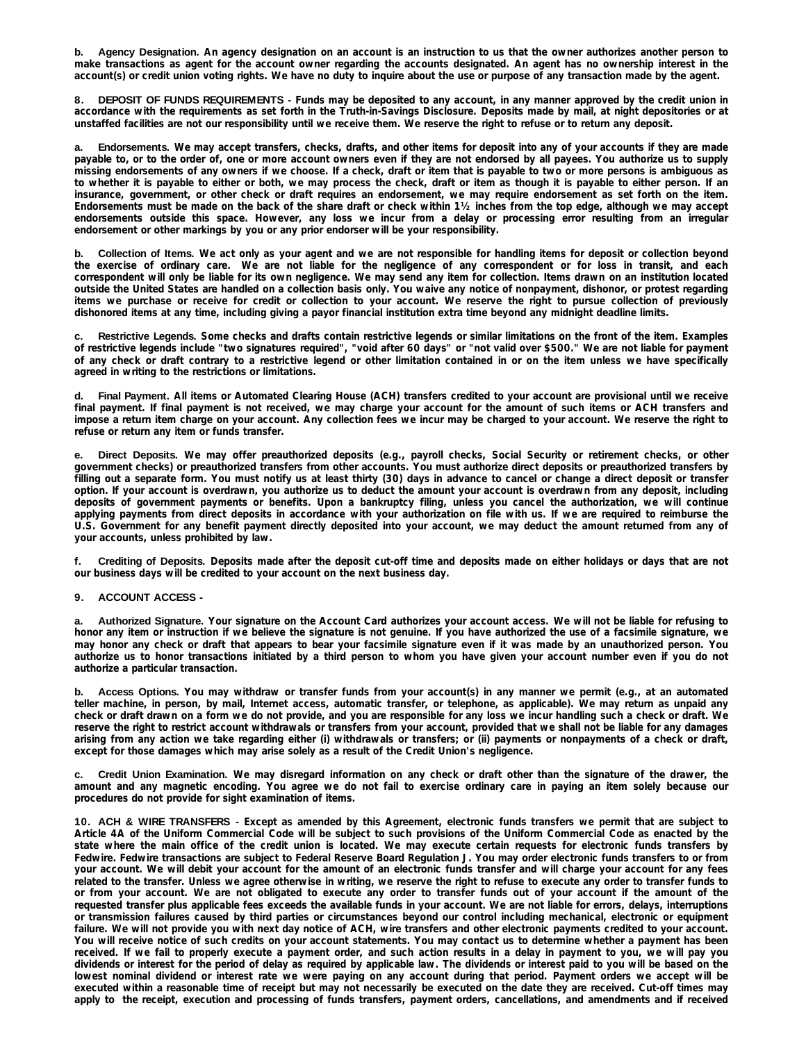b. Agency Designation. An agency designation on an account is an instruction to us that the owner authorizes another person to make transactions as agent for the account owner regarding the accounts designated. An agent has no ownership interest in the **account(s) or credit union voting rights. We have no duty to inquire about the use or purpose of any transaction made by the agent.** 

8. DEPOSIT OF FUNDS REQUIREMENTS - Funds may be deposited to any account, in any manner approved by the credit union in accordance with the requirements as set forth in the Truth-in-Savings Disclosure. Deposits made by mail, at night depositories or at **unstaffed facilities are not our responsibility until we receive them. We reserve the right to refuse or to return any deposit.** 

a. Endorsements. We may accept transfers, checks, drafts, and other items for deposit into any of your accounts if they are made payable to, or to the order of, one or more account owners even if they are not endorsed by all payees. You authorize us to supply missing endorsements of any owners if we choose. If a check, draft or item that is payable to two or more persons is ambiquous as to whether it is payable to either or both, we may process the check, draft or item as though it is payable to either person. If an insurance, government, or other check or draft requires an endorsement, we may require endorsement as set forth on the item. Endorsements must be made on the back of the share draft or check within 11/2 inches from the top edge, although we may accept endorsements outside this space. However, any loss we incur from a delay or processing error resulting from an irregular **endorsement or other markings by you or any prior endorser will be your responsibility.** 

b. Collection of Items. We act only as your agent and we are not responsible for handling items for deposit or collection beyond the exercise of ordinary care. We are not liable for the negligence of any correspondent or for loss in transit, and each correspondent will only be liable for its own negligence. We may send any item for collection. Items drawn on an institution located outside the United States are handled on a collection basis only. You waive any notice of nonpayment, dishonor, or protest regarding items we purchase or receive for credit or collection to your account. We reserve the right to pursue collection of previously **dishonored items at any time, including giving a payor financial institution extra time beyond any midnight deadline limits.** 

Restrictive Legends. Some checks and drafts contain restrictive legends or similar limitations on the front of the item. Examples of restrictive legends include "two signatures required", "void after 60 days" or "not valid over \$500." We are not liable for payment of any check or draft contrary to a restrictive legend or other limitation contained in or on the item unless we have specifically **agreed in writing to the restrictions or limitations.** 

d. Final Payment. All items or Automated Clearing House (ACH) transfers credited to your account are provisional until we receive final payment. If final payment is not received, we may charge your account for the amount of such items or ACH transfers and impose a return item charge on your account. Any collection fees we incur may be charged to your account. We reserve the right to **refuse or return any item or funds transfer.** 

e. Direct Deposits. We may offer preauthorized deposits (e.g., payroll checks, Social Security or retirement checks, or other government checks) or preauthorized transfers from other accounts. You must authorize direct deposits or preauthorized transfers by filling out a separate form. You must notify us at least thirty (30) days in advance to cancel or change a direct deposit or transfer option. If your account is overdrawn, you authorize us to deduct the amount your account is overdrawn from any deposit, including deposits of government payments or benefits. Upon a bankruptcy filing, unless you cancel the authorization, we will continue applying payments from direct deposits in accordance with your authorization on file with us. If we are required to reimburse the U.S. Government for any benefit payment directly deposited into your account, we may deduct the amount returned from any of **your accounts, unless prohibited by law.** 

Crediting of Deposits. Deposits made after the deposit cut-off time and deposits made on either holidays or days that are not **our business days will be credited to your account on the next business day.** 

# **9. ACCOUNT ACCESS -**

a. Authorized Signature. Your signature on the Account Card authorizes your account access. We will not be liable for refusing to honor any item or instruction if we believe the signature is not genuine. If you have authorized the use of a facsimile signature, we may honor any check or draft that appears to bear your facsimile signature even if it was made by an unauthorized person. You authorize us to honor transactions initiated by a third person to whom you have given your account number even if you do not **authorize a particular transaction.** 

b. Access Options. You may withdraw or transfer funds from your account(s) in any manner we permit (e.g., at an automated teller machine, in person, by mail, Internet access, automatic transfer, or telephone, as applicable). We may return as unpaid any check or draft drawn on a form we do not provide, and you are responsible for any loss we incur handling such a check or draft. We reserve the right to restrict account withdrawals or transfers from your account, provided that we shall not be liable for any damages arising from any action we take regarding either (i) withdrawals or transfers; or (ii) payments or nonpayments of a check or draft, **except for those damages which may arise solely as a result of the Credit Union's negligence.** 

c. Credit Union Examination. We may disregard information on any check or draft other than the signature of the drawer, the amount and any magnetic encoding. You agree we do not fail to exercise ordinary care in paying an item solely because our **procedures do not provide for sight examination of items.** 

10. ACH & WIRE TRANSFERS - Except as amended by this Agreement, electronic funds transfers we permit that are subject to Article 4A of the Uniform Commercial Code will be subject to such provisions of the Uniform Commercial Code as enacted by the state where the main office of the credit union is located. We may execute certain requests for electronic funds transfers by Fedwire. Fedwire transactions are subject to Federal Reserve Board Regulation J. You may order electronic funds transfers to or from your account. We will debit your account for the amount of an electronic funds transfer and will charge your account for any fees related to the transfer. Unless we agree otherwise in writing, we reserve the right to refuse to execute any order to transfer funds to or from your account. We are not obligated to execute any order to transfer funds out of your account if the amount of the requested transfer plus applicable fees exceeds the available funds in your account. We are not liable for errors, delays, interruptions or transmission failures caused by third parties or circumstances beyond our control including mechanical, electronic or equipment failure. We will not provide you with next day notice of ACH, wire transfers and other electronic payments credited to your account. You will receive notice of such credits on your account statements. You may contact us to determine whether a payment has been received. If we fail to properly execute a payment order, and such action results in a delay in payment to you, we will pay you dividends or interest for the period of delay as required by applicable law. The dividends or interest paid to you will be based on the lowest nominal dividend or interest rate we were paying on any account during that period. Payment orders we accept will be executed within a reasonable time of receipt but may not necessarily be executed on the date they are received. Cut-off times may apply to the receipt, execution and processing of funds transfers, payment orders, cancellations, and amendments and if received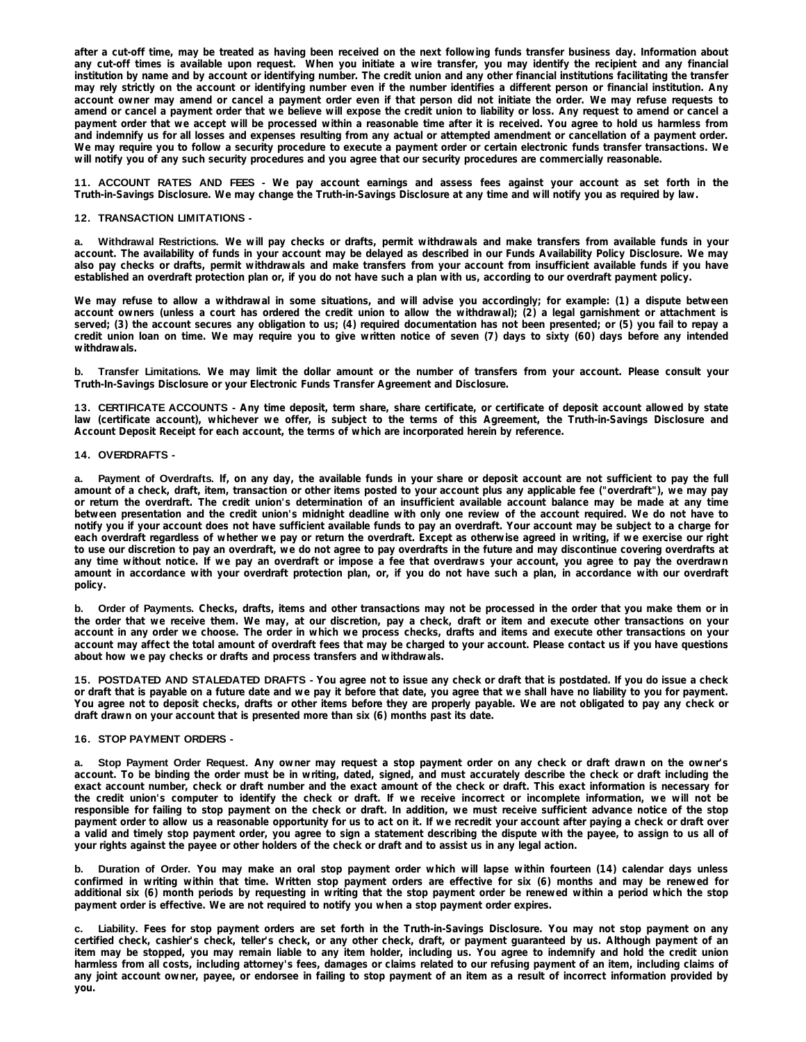after a cut-off time, may be treated as having been received on the next following funds transfer business day. Information about any cut-off times is available upon request. When you initiate a wire transfer, you may identify the recipient and any financial institution by name and by account or identifying number. The credit union and any other financial institutions facilitating the transfer may rely strictly on the account or identifying number even if the number identifies a different person or financial institution. Any account owner may amend or cancel a payment order even if that person did not initiate the order. We may refuse requests to amend or cancel a payment order that we believe will expose the credit union to liability or loss. Any request to amend or cancel a payment order that we accept will be processed within a reasonable time after it is received. You agree to hold us harmless from and indemnify us for all losses and expenses resulting from any actual or attempted amendment or cancellation of a payment order. We may require you to follow a security procedure to execute a payment order or certain electronic funds transfer transactions. We **will notify you of any such security procedures and you agree that our security procedures are commercially reasonable.** 

11. ACCOUNT RATES AND FEES - We pay account earnings and assess fees against your account as set forth in the **Truth-in-Savings Disclosure. We may change the Truth-in-Savings Disclosure at any time and will notify you as required by law.** 

## **12. TRANSACTION LIMITATIONS -**

Withdrawal Restrictions. We will pay checks or drafts, permit withdrawals and make transfers from available funds in your account. The availability of funds in your account may be delayed as described in our Funds Availability Policy Disclosure. We may also pay checks or drafts, permit withdrawals and make transfers from your account from insufficient available funds if you have **established an overdraft protection plan or, if you do not have such a plan with us, according to our overdraft payment policy.** 

We may refuse to allow a withdrawal in some situations, and will advise you accordingly; for example: (1) a dispute between account owners (unless a court has ordered the credit union to allow the withdrawal); (2) a legal garnishment or attachment is served; (3) the account secures any obligation to us; (4) required documentation has not been presented; or (5) you fail to repay a credit union loan on time. We may require you to give written notice of seven (7) days to sixty (60) days before any intended **withdrawals.** 

b. Transfer Limitations. We may limit the dollar amount or the number of transfers from your account. Please consult your **Truth-In-Savings Disclosure or your Electronic Funds Transfer Agreement and Disclosure.** 

13. CERTIFICATE ACCOUNTS - Any time deposit, term share, share certificate, or certificate of deposit account allowed by state law (certificate account), whichever we offer, is subject to the terms of this Agreement, the Truth-in-Savings Disclosure and **Account Deposit Receipt for each account, the terms of which are incorporated herein by reference.** 

## **14. OVERDRAFTS -**

a. Payment of Overdrafts. If, on any day, the available funds in your share or deposit account are not sufficient to pay the full amount of a check, draft, item, transaction or other items posted to your account plus any applicable fee ("overdraft"), we may pay or return the overdraft. The credit union's determination of an insufficient available account balance may be made at any time between presentation and the credit union's midnight deadline with only one review of the account required. We do not have to notify you if your account does not have sufficient available funds to pay an overdraft. Your account may be subject to a charge for each overdraft regardless of whether we pay or return the overdraft. Except as otherwise agreed in writing, if we exercise our right to use our discretion to pay an overdraft, we do not agree to pay overdrafts in the future and may discontinue covering overdrafts at any time without notice. If we pay an overdraft or impose a fee that overdraws your account, you agree to pay the overdrawn amount in accordance with your overdraft protection plan, or, if you do not have such a plan, in accordance with our overdraft **policy.** 

b. Order of Payments. Checks, drafts, items and other transactions may not be processed in the order that you make them or in the order that we receive them. We may, at our discretion, pay a check, draft or item and execute other transactions on your account in any order we choose. The order in which we process checks, drafts and items and execute other transactions on your account may affect the total amount of overdraft fees that may be charged to your account. Please contact us if you have questions **about how we pay checks or drafts and process transfers and withdrawals.** 

15. POSTDATED AND STALEDATED DRAFTS - You agree not to issue any check or draft that is postdated. If you do issue a check or draft that is payable on a future date and we pay it before that date, you agree that we shall have no liability to you for payment. You agree not to deposit checks, drafts or other items before they are properly payable. We are not obligated to pay any check or **draft drawn on your account that is presented more than six (6) months past its date.** 

### **16. STOP PAYMENT ORDERS -**

Stop Payment Order Request. Any owner may request a stop payment order on any check or draft drawn on the owner's account. To be binding the order must be in writing, dated, signed, and must accurately describe the check or draft including the exact account number, check or draft number and the exact amount of the check or draft. This exact information is necessary for the credit union's computer to identify the check or draft. If we receive incorrect or incomplete information, we will not be responsible for failing to stop payment on the check or draft. In addition, we must receive sufficient advance notice of the stop payment order to allow us a reasonable opportunity for us to act on it. If we recredit your account after paying a check or draft over a valid and timely stop payment order, you agree to sign a statement describing the dispute with the payee, to assign to us all of **your rights against the payee or other holders of the check or draft and to assist us in any legal action.** 

b. Duration of Order. You may make an oral stop payment order which will lapse within fourteen (14) calendar days unless confirmed in writing within that time. Written stop payment orders are effective for six (6) months and may be renewed for additional six (6) month periods by requesting in writing that the stop payment order be renewed within a period which the stop **payment order is effective. We are not required to notify you when a stop payment order expires.** 

c. Liability. Fees for stop payment orders are set forth in the Truth-in-Savings Disclosure. You may not stop payment on any certified check, cashier's check, teller's check, or any other check, draft, or payment guaranteed by us. Although payment of an item may be stopped, you may remain liable to any item holder, including us. You agree to indemnify and hold the credit union harmless from all costs, including attorney's fees, damages or claims related to our refusing payment of an item, including claims of any joint account owner, payee, or endorsee in failing to stop payment of an item as a result of incorrect information provided by **you.**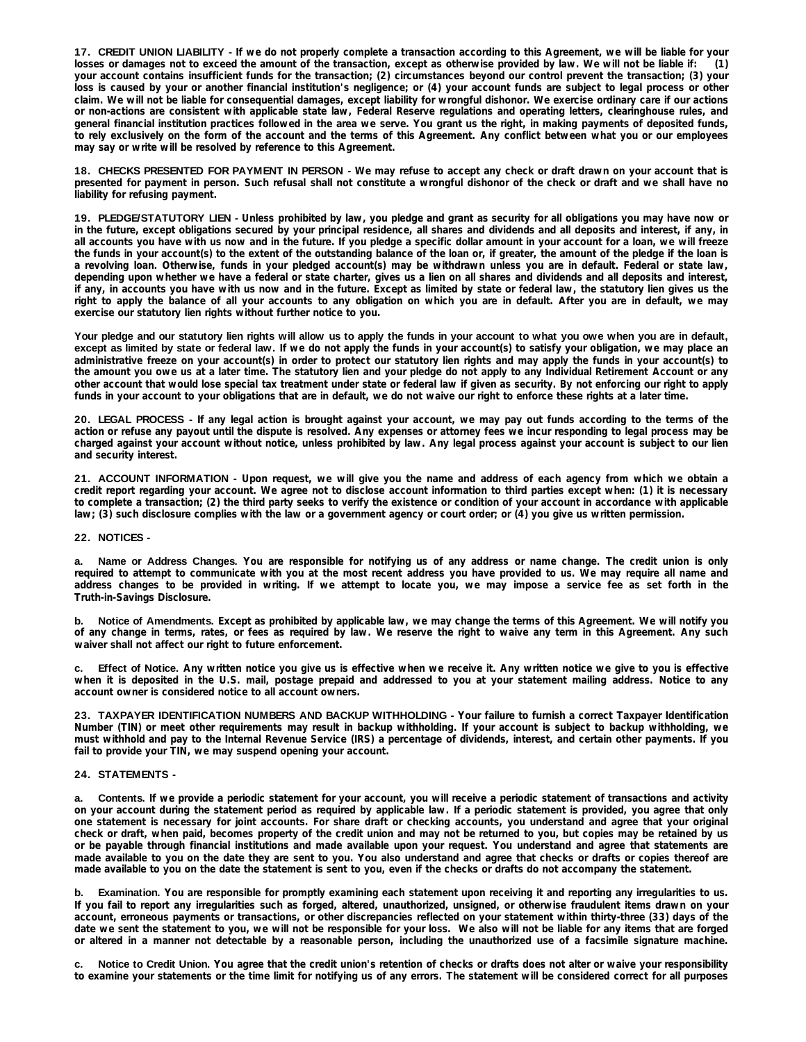17. CREDIT UNION LIABILITY - If we do not properly complete a transaction according to this Agreement, we will be liable for your losses or damages not to exceed the amount of the transaction, except as otherwise provided by law. We will not be liable if: (1) your account contains insufficient funds for the transaction; (2) circumstances beyond our control prevent the transaction; (3) your loss is caused by your or another financial institution's negligence; or (4) your account funds are subject to legal process or other claim. We will not be liable for consequential damages, except liability for wrongful dishonor. We exercise ordinary care if our actions or non-actions are consistent with applicable state law, Federal Reserve requiations and operating letters, clearinghouse rules, and general financial institution practices followed in the area we serve. You grant us the right, in making payments of deposited funds, to rely exclusively on the form of the account and the terms of this Agreement. Any conflict between what you or our employees **may say or write will be resolved by reference to this Agreement.** 

18. CHECKS PRESENTED FOR PAYMENT IN PERSON - We may refuse to accept any check or draft drawn on your account that is presented for payment in person. Such refusal shall not constitute a wrongful dishonor of the check or draft and we shall have no **liability for refusing payment.** 

19. PLEDGE/STATUTORY LIEN - Unless prohibited by law, you pledge and grant as security for all obligations you may have now or in the future, except obligations secured by your principal residence, all shares and dividends and all deposits and interest, if any, in all accounts you have with us now and in the future. If you pledge a specific dollar amount in your account for a loan, we will freeze the funds in your account(s) to the extent of the outstanding balance of the loan or, if greater, the amount of the pledge if the loan is a revolving loan. Otherwise, funds in your pledged account(s) may be withdrawn unless you are in default. Federal or state law, depending upon whether we have a federal or state charter, gives us a lien on all shares and dividends and all deposits and interest, if any, in accounts you have with us now and in the future. Except as limited by state or federal law, the statutory lien gives us the right to apply the balance of all your accounts to any obligation on which you are in default. After you are in default, we may **exercise our statutory lien rights without further notice to you.** 

Your pledge and our statutory lien rights will allow us to apply the funds in your account to what you owe when you are in default, except as limited by state or federal law. If we do not apply the funds in your account(s) to satisfy your obligation, we may place an administrative freeze on your account(s) in order to protect our statutory lien rights and may apply the funds in your account(s) to the amount you owe us at a later time. The statutory lien and your pledge do not apply to any Individual Retirement Account or any other account that would lose special tax treatment under state or federal law if given as security. By not enforcing our right to apply **funds in your account to your obligations that are in default, we do not waive our right to enforce these rights at a later time.** 

20. LEGAL PROCESS - If any legal action is brought against your account, we may pay out funds according to the terms of the action or refuse any payout until the dispute is resolved. Any expenses or attorney fees we incur responding to legal process may be charged against your account without notice, unless prohibited by law. Any legal process against your account is subject to our lien **and security interest.** 

21. ACCOUNT INFORMATION - Upon request, we will give you the name and address of each agency from which we obtain a credit report regarding your account. We agree not to disclose account information to third parties except when: (1) it is necessary to complete a transaction; (2) the third party seeks to verify the existence or condition of your account in accordance with applicable **law; (3) such disclosure complies with the law or a government agency or court order; or (4) you give us written permission.** 

### **22. NOTICES -**

Name or Address Changes. You are responsible for notifying us of any address or name change. The credit union is only required to attempt to communicate with you at the most recent address you have provided to us. We may require all name and address changes to be provided in writing. If we attempt to locate you, we may impose a service fee as set forth in the **Truth-in-Savings Disclosure.** 

b. Notice of Amendments. Except as prohibited by applicable law, we may change the terms of this Agreement. We will notify you of any change in terms, rates, or fees as required by law. We reserve the right to waive any term in this Agreement. Any such **waiver shall not affect our right to future enforcement.** 

c. Effect of Notice. Any written notice you give us is effective when we receive it. Any written notice we give to you is effective when it is deposited in the U.S. mail, postage prepaid and addressed to you at your statement mailing address. Notice to any **account owner is considered notice to all account owners.** 

23. TAXPAYER IDENTIFICATION NUMBERS AND BACKUP WITHHOLDING - Your failure to furnish a correct Taxpayer Identification Number (TIN) or meet other requirements may result in backup withholding. If your account is subject to backup withholding, we must withhold and pay to the Internal Revenue Service (IRS) a percentage of dividends, interest, and certain other payments. If you **fail to provide your TIN, we may suspend opening your account.** 

### **24. STATEMENTS -**

a. Contents. If we provide a periodic statement for your account, you will receive a periodic statement of transactions and activity on your account during the statement period as required by applicable law. If a periodic statement is provided, you agree that only one statement is necessary for joint accounts. For share draft or checking accounts, you understand and agree that your original check or draft, when paid, becomes property of the credit union and may not be returned to you, but copies may be retained by us or be payable through financial institutions and made available upon your request. You understand and agree that statements are made available to you on the date they are sent to you. You also understand and agree that checks or drafts or copies thereof are **made available to you on the date the statement is sent to you, even if the checks or drafts do not accompany the statement.** 

Examination. You are responsible for promptly examining each statement upon receiving it and reporting any irregularities to us. If you fail to report any irregularities such as forged, altered, unauthorized, unsigned, or otherwise fraudulent items drawn on your account, erroneous payments or transactions, or other discrepancies reflected on your statement within thirty-three (33) days of the date we sent the statement to you, we will not be responsible for your loss. We also will not be liable for any items that are forged or altered in a manner not detectable by a reasonable person, including the unauthorized use of a facsimile signature machine.

Notice to Credit Union. You agree that the credit union's retention of checks or drafts does not alter or waive your responsibility to examine your statements or the time limit for notifying us of any errors. The statement will be considered correct for all purposes